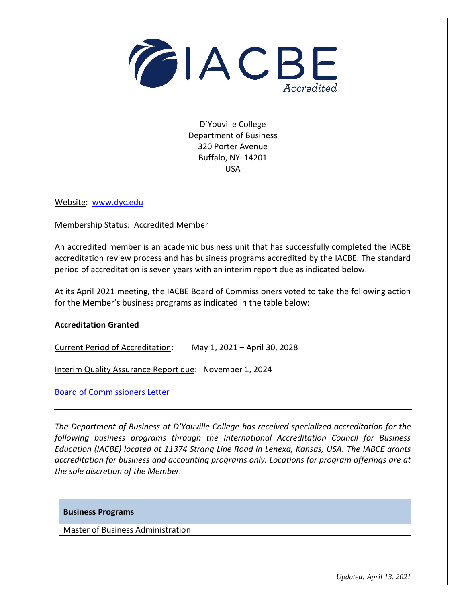

D'Youville College Department of Business 320 Porter Avenue Buffalo, NY 14201 USA

Website: [www.dyc.edu](http://www.dyc.edu/)

Membership Status: Accredited Member

An accredited member is an academic business unit that has successfully completed the IACBE accreditation review process and has business programs accredited by the IACBE. The standard period of accreditation is seven years with an interim report due as indicated below.

At its April 2021 meeting, the IACBE Board of Commissioners voted to take the following action for the Member's business programs as indicated in the table below:

## **Accreditation Granted**

Current Period of Accreditation: May 1, 2021 – April 30, 2028

Interim Quality Assurance Report due: November 1, 2024

[Board of Commissioners Letter](https://iacbe.org/memberpdf/DYouvilleCollege-BOCDecisionLetter2020-04Final.pdf)

*The Department of Business at D'Youville College has received specialized accreditation for the following business programs through the International Accreditation Council for Business Education (IACBE) located at 11374 Strang Line Road in Lenexa, Kansas, USA. The IABCE grants accreditation for business and accounting programs only. Locations for program offerings are at the sole discretion of the Member.*

## **Business Programs**

Master of Business Administration

*Updated: April 13, 2021*